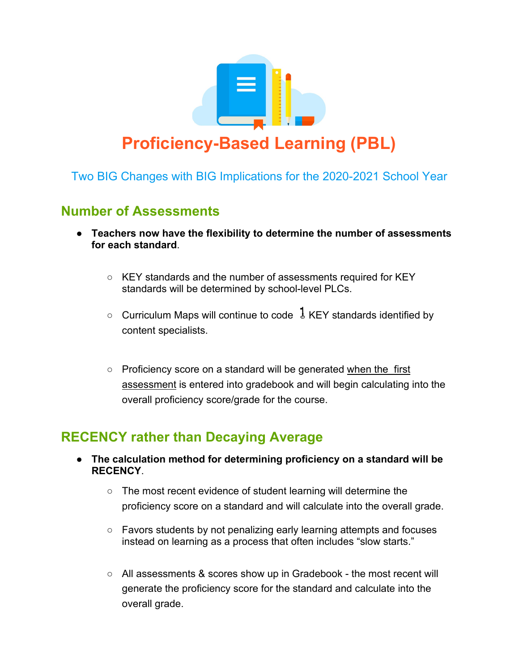

Two BIG Changes with BIG Implications for the 2020-2021 School Year

## **Number of Assessments**

- **Teachers now have the flexibility to determine the number of assessments for each standard**.
	- KEY standards and the number of assessments required for KEY standards will be determined by school-level PLCs.
	- $\circ$  Curriculum Maps will continue to code  $\frac{1}{2}$  KEY standards identified by content specialists.
	- Proficiency score on a standard will be generated when the first assessment is entered into gradebook and will begin calculating into the overall proficiency score/grade for the course.

## **RECENCY rather than Decaying Average**

- **The calculation method for determining proficiency on a standard will be RECENCY**.
	- The most recent evidence of student learning will determine the proficiency score on a standard and will calculate into the overall grade.
	- Favors students by not penalizing early learning attempts and focuses instead on learning as a process that often includes "slow starts."
	- All assessments & scores show up in Gradebook the most recent will generate the proficiency score for the standard and calculate into the overall grade.